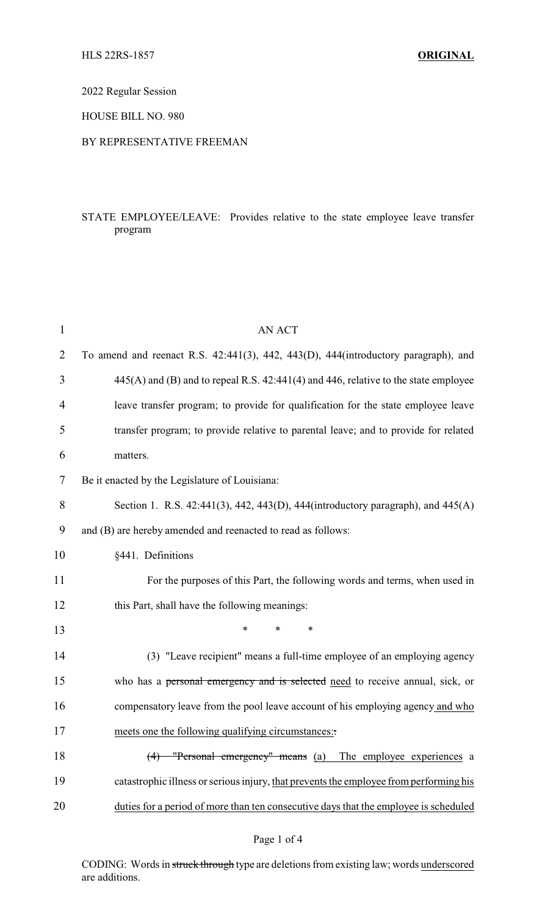2022 Regular Session

HOUSE BILL NO. 980

### BY REPRESENTATIVE FREEMAN

## STATE EMPLOYEE/LEAVE: Provides relative to the state employee leave transfer program

| $\mathbf{1}$ | AN ACT                                                                                     |
|--------------|--------------------------------------------------------------------------------------------|
| 2            | To amend and reenact R.S. 42:441(3), 442, 443(D), 444(introductory paragraph), and         |
| 3            | $445(A)$ and (B) and to repeal R.S. $42:441(4)$ and $446$ , relative to the state employee |
| 4            | leave transfer program; to provide for qualification for the state employee leave          |
| 5            | transfer program; to provide relative to parental leave; and to provide for related        |
| 6            | matters.                                                                                   |
| 7            | Be it enacted by the Legislature of Louisiana:                                             |
| 8            | Section 1. R.S. 42:441(3), 442, 443(D), 444(introductory paragraph), and 445(A)            |
| 9            | and (B) are hereby amended and reenacted to read as follows:                               |
| 10           | §441. Definitions                                                                          |
| 11           | For the purposes of this Part, the following words and terms, when used in                 |
| 12           | this Part, shall have the following meanings:                                              |
| 13           | $\ast$<br>$\ast$<br>*                                                                      |
| 14           | (3) "Leave recipient" means a full-time employee of an employing agency                    |
| 15           | who has a personal emergency and is selected need to receive annual, sick, or              |
| 16           | compensatory leave from the pool leave account of his employing agency and who             |
| 17           | meets one the following qualifying circumstances:                                          |
| 18           | "Personal emergency" means (a) The employee experiences a<br>(4)                           |
| 19           | catastrophic illness or serious injury, that prevents the employee from performing his     |
| 20           | duties for a period of more than ten consecutive days that the employee is scheduled       |

CODING: Words in struck through type are deletions from existing law; words underscored are additions.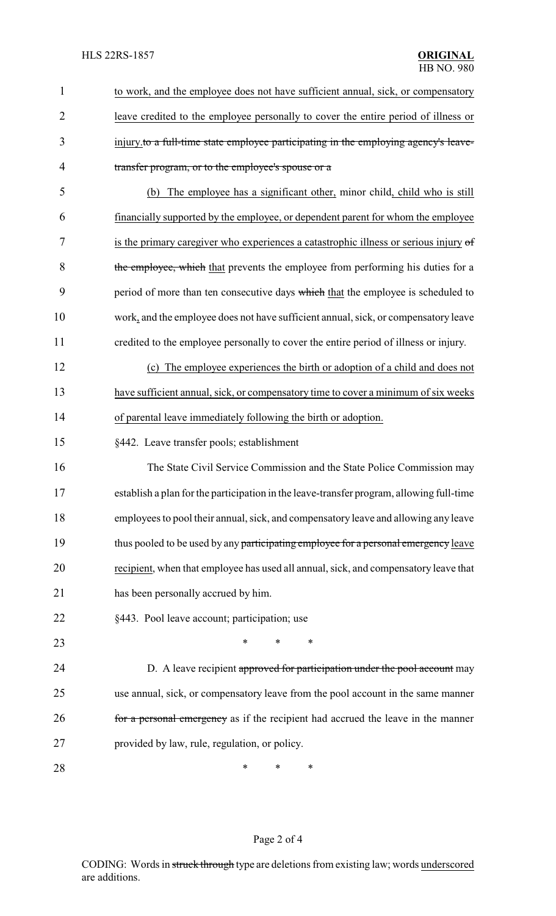| 1              | to work, and the employee does not have sufficient annual, sick, or compensatory         |
|----------------|------------------------------------------------------------------------------------------|
| $\overline{2}$ | leave credited to the employee personally to cover the entire period of illness or       |
| 3              | injury to a full-time state employee participating in the employing agency's leave-      |
| 4              | transfer program, or to the employee's spouse or a                                       |
| 5              | The employee has a significant other, minor child, child who is still<br>(b)             |
| 6              | financially supported by the employee, or dependent parent for whom the employee         |
| 7              | is the primary caregiver who experiences a catastrophic illness or serious injury of     |
| 8              | the employee, which that prevents the employee from performing his duties for a          |
| 9              | period of more than ten consecutive days which that the employee is scheduled to         |
| 10             | work, and the employee does not have sufficient annual, sick, or compensatory leave      |
| 11             | credited to the employee personally to cover the entire period of illness or injury.     |
| 12             | (c) The employee experiences the birth or adoption of a child and does not               |
| 13             | have sufficient annual, sick, or compensatory time to cover a minimum of six weeks       |
| 14             | of parental leave immediately following the birth or adoption.                           |
| 15             | §442. Leave transfer pools; establishment                                                |
| 16             | The State Civil Service Commission and the State Police Commission may                   |
| 17             | establish a plan for the participation in the leave-transfer program, allowing full-time |
| 18             | employees to pool their annual, sick, and compensatory leave and allowing any leave      |
| 19             | thus pooled to be used by any participating employee for a personal emergency leave      |
| 20             | recipient, when that employee has used all annual, sick, and compensatory leave that     |
| 21             | has been personally accrued by him.                                                      |
| 22             | §443. Pool leave account; participation; use                                             |
| 23             | *<br>∗                                                                                   |
| 24             | D. A leave recipient approved for participation under the pool account may               |
| 25             | use annual, sick, or compensatory leave from the pool account in the same manner         |
| 26             | for a personal emergency as if the recipient had accrued the leave in the manner         |
| 27             | provided by law, rule, regulation, or policy.                                            |
| 28             | ∗<br>*<br>∗                                                                              |

# Page 2 of 4

CODING: Words in struck through type are deletions from existing law; words underscored are additions.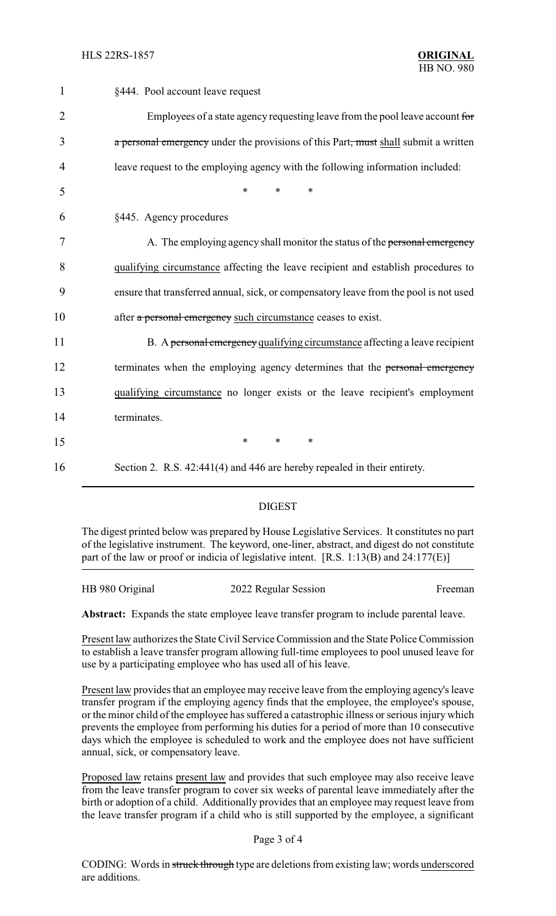| $\mathbf{1}$   | §444. Pool account leave request                                                      |
|----------------|---------------------------------------------------------------------------------------|
| $\overline{2}$ | Employees of a state agency requesting leave from the pool leave account for          |
| 3              | a personal emergency under the provisions of this Part, must shall submit a written   |
| 4              | leave request to the employing agency with the following information included:        |
| 5              | *<br>$\ast$<br>$\ast$                                                                 |
| 6              | §445. Agency procedures                                                               |
| 7              | A. The employing agency shall monitor the status of the personal emergency            |
| 8              | qualifying circumstance affecting the leave recipient and establish procedures to     |
| 9              | ensure that transferred annual, sick, or compensatory leave from the pool is not used |
| 10             | after a personal emergency such circumstance ceases to exist.                         |
| 11             | B. A personal emergency qualifying circumstance affecting a leave recipient           |
| 12             | terminates when the employing agency determines that the personal emergency           |
| 13             | qualifying circumstance no longer exists or the leave recipient's employment          |
| 14             | terminates.                                                                           |
| 15             | $\ast$<br>*<br>$\ast$                                                                 |
| 16             | Section 2. R.S. 42:441(4) and 446 are hereby repealed in their entirety.              |

### DIGEST

The digest printed below was prepared by House Legislative Services. It constitutes no part of the legislative instrument. The keyword, one-liner, abstract, and digest do not constitute part of the law or proof or indicia of legislative intent. [R.S. 1:13(B) and 24:177(E)]

| HB 980 Original | 2022 Regular Session | Freeman |
|-----------------|----------------------|---------|
|                 |                      |         |

**Abstract:** Expands the state employee leave transfer program to include parental leave.

Present law authorizes the State Civil Service Commission and the State Police Commission to establish a leave transfer program allowing full-time employees to pool unused leave for use by a participating employee who has used all of his leave.

Present law provides that an employee may receive leave from the employing agency's leave transfer program if the employing agency finds that the employee, the employee's spouse, or the minor child of the employee has suffered a catastrophic illness or serious injury which prevents the employee from performing his duties for a period of more than 10 consecutive days which the employee is scheduled to work and the employee does not have sufficient annual, sick, or compensatory leave.

Proposed law retains present law and provides that such employee may also receive leave from the leave transfer program to cover six weeks of parental leave immediately after the birth or adoption of a child. Additionally provides that an employee may request leave from the leave transfer program if a child who is still supported by the employee, a significant

#### Page 3 of 4

CODING: Words in struck through type are deletions from existing law; words underscored are additions.